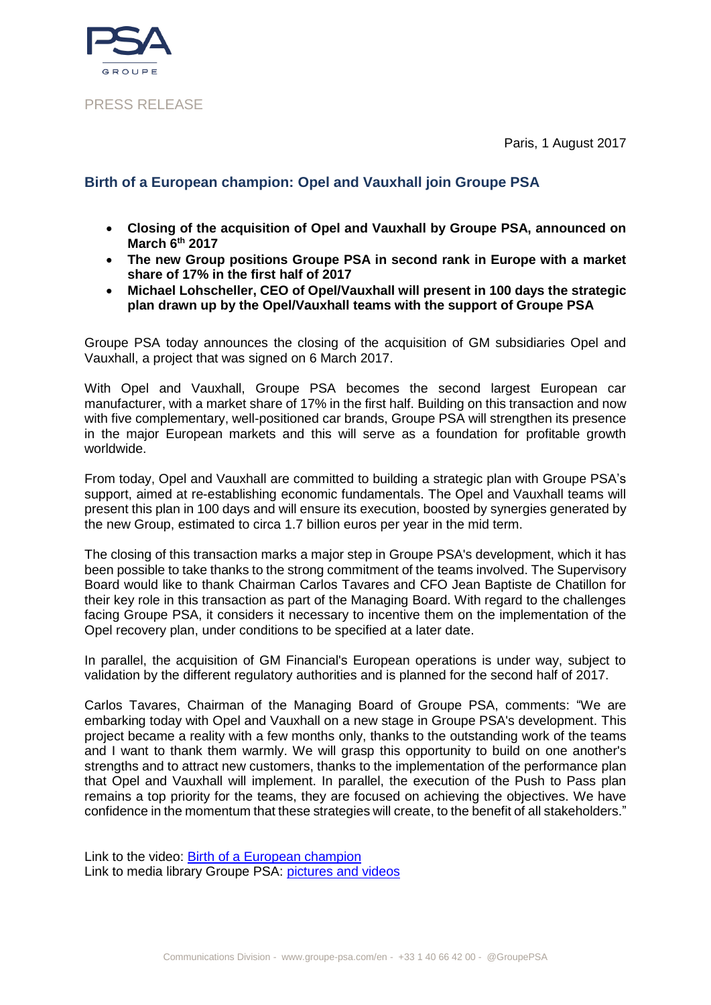Paris, 1 August 2017



### PRESS RELEASE

# **Birth of a European champion: Opel and Vauxhall join Groupe PSA**

- **Closing of the acquisition of Opel and Vauxhall by Groupe PSA, announced on March 6th 2017**
- **The new Group positions Groupe PSA in second rank in Europe with a market share of 17% in the first half of 2017**
- **Michael Lohscheller, CEO of Opel/Vauxhall will present in 100 days the strategic plan drawn up by the Opel/Vauxhall teams with the support of Groupe PSA**

Groupe PSA today announces the closing of the acquisition of GM subsidiaries Opel and Vauxhall, a project that was signed on 6 March 2017.

With Opel and Vauxhall, Groupe PSA becomes the second largest European car manufacturer, with a market share of 17% in the first half. Building on this transaction and now with five complementary, well-positioned car brands, Groupe PSA will strengthen its presence in the major European markets and this will serve as a foundation for profitable growth worldwide.

From today, Opel and Vauxhall are committed to building a strategic plan with Groupe PSA's support, aimed at re-establishing economic fundamentals. The Opel and Vauxhall teams will present this plan in 100 days and will ensure its execution, boosted by synergies generated by the new Group, estimated to circa 1.7 billion euros per year in the mid term.

The closing of this transaction marks a major step in Groupe PSA's development, which it has been possible to take thanks to the strong commitment of the teams involved. The Supervisory Board would like to thank Chairman Carlos Tavares and CFO Jean Baptiste de Chatillon for their key role in this transaction as part of the Managing Board. With regard to the challenges facing Groupe PSA, it considers it necessary to incentive them on the implementation of the Opel recovery plan, under conditions to be specified at a later date.

In parallel, the acquisition of GM Financial's European operations is under way, subject to validation by the different regulatory authorities and is planned for the second half of 2017.

Carlos Tavares, Chairman of the Managing Board of Groupe PSA, comments: "We are embarking today with Opel and Vauxhall on a new stage in Groupe PSA's development. This project became a reality with a few months only, thanks to the outstanding work of the teams and I want to thank them warmly. We will grasp this opportunity to build on one another's strengths and to attract new customers, thanks to the implementation of the performance plan that Opel and Vauxhall will implement. In parallel, the execution of the Push to Pass plan remains a top priority for the teams, they are focused on achieving the objectives. We have confidence in the momentum that these strategies will create, to the benefit of all stakeholders."

Link to the video: [Birth of a European champion](https://www.youtube.com/watch?v=svJByzNawQ0) Link to media library Groupe PSA: [pictures and videos](https://medialibrary.groupe-psa.com/corporate/identification?token=bT3lQk4Ct)